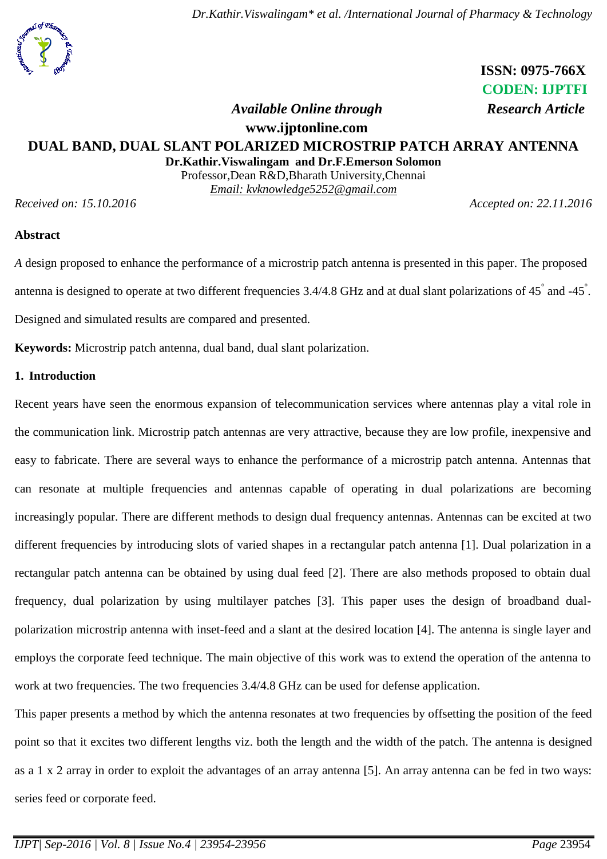*Dr.Kathir.Viswalingam\* et al. /International Journal of Pharmacy & Technology*



 **ISSN: 0975-766X CODEN: IJPTFI**

## *Available Online through* Research Article

# **www.ijptonline.com DUAL BAND, DUAL SLANT POLARIZED MICROSTRIP PATCH ARRAY ANTENNA**

**Dr.Kathir.Viswalingam and Dr.F.Emerson Solomon** Professor,Dean R&D,Bharath University,Chennai *Email: [kvknowledge5252@gmail.com](mailto:kvknowledge5252@gmail.com)*

*Received on: 15.10.2016 Accepted on: 22.11.2016*

#### **Abstract**

*A* design proposed to enhance the performance of a microstrip patch antenna is presented in this paper. The proposed antenna is designed to operate at two different frequencies 3.4/4.8 GHz and at dual slant polarizations of 45° and -45°. Designed and simulated results are compared and presented.

**Keywords:** Microstrip patch antenna, dual band, dual slant polarization.

## **1. Introduction**

Recent years have seen the enormous expansion of telecommunication services where antennas play a vital role in the communication link. Microstrip patch antennas are very attractive, because they are low profile, inexpensive and easy to fabricate. There are several ways to enhance the performance of a microstrip patch antenna. Antennas that can resonate at multiple frequencies and antennas capable of operating in dual polarizations are becoming increasingly popular. There are different methods to design dual frequency antennas. Antennas can be excited at two different frequencies by introducing slots of varied shapes in a rectangular patch antenna [1]. Dual polarization in a rectangular patch antenna can be obtained by using dual feed [2]. There are also methods proposed to obtain dual frequency, dual polarization by using multilayer patches [3]. This paper uses the design of broadband dualpolarization microstrip antenna with inset-feed and a slant at the desired location [4]. The antenna is single layer and employs the corporate feed technique. The main objective of this work was to extend the operation of the antenna to work at two frequencies. The two frequencies 3.4/4.8 GHz can be used for defense application.

This paper presents a method by which the antenna resonates at two frequencies by offsetting the position of the feed point so that it excites two different lengths viz. both the length and the width of the patch. The antenna is designed as a 1 x 2 array in order to exploit the advantages of an array antenna [5]. An array antenna can be fed in two ways: series feed or corporate feed.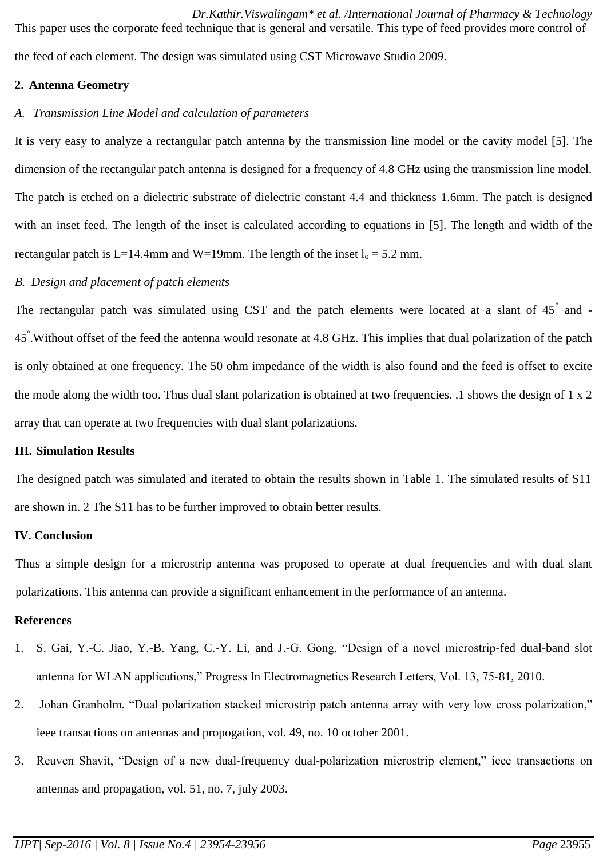*Dr.Kathir.Viswalingam\* et al. /International Journal of Pharmacy & Technology* This paper uses the corporate feed technique that is general and versatile. This type of feed provides more control of the feed of each element. The design was simulated using CST Microwave Studio 2009.

## **2. Antenna Geometry**

# *A. Transmission Line Model and calculation of parameters*

It is very easy to analyze a rectangular patch antenna by the transmission line model or the cavity model [5]. The dimension of the rectangular patch antenna is designed for a frequency of 4.8 GHz using the transmission line model. The patch is etched on a dielectric substrate of dielectric constant 4.4 and thickness 1.6mm. The patch is designed with an inset feed. The length of the inset is calculated according to equations in [5]. The length and width of the rectangular patch is L=14.4mm and W=19mm. The length of the inset  $l_0 = 5.2$  mm.

# *B. Design and placement of patch elements*

The rectangular patch was simulated using CST and the patch elements were located at a slant of  $45^{\degree}$  and -45° .Without offset of the feed the antenna would resonate at 4.8 GHz. This implies that dual polarization of the patch is only obtained at one frequency. The 50 ohm impedance of the width is also found and the feed is offset to excite the mode along the width too. Thus dual slant polarization is obtained at two frequencies. .1 shows the design of 1 x 2 array that can operate at two frequencies with dual slant polarizations.

#### **III. Simulation Results**

The designed patch was simulated and iterated to obtain the results shown in Table 1. The simulated results of S11 are shown in. 2 The S11 has to be further improved to obtain better results.

# **IV. Conclusion**

Thus a simple design for a microstrip antenna was proposed to operate at dual frequencies and with dual slant polarizations. This antenna can provide a significant enhancement in the performance of an antenna.

#### **References**

- 1. S. Gai, Y.-C. Jiao, Y.-B. Yang, C.-Y. Li, and J.-G. Gong, "Design of a novel microstrip-fed dual-band slot antenna for WLAN applications," Progress In Electromagnetics Research Letters, Vol. 13, 75-81, 2010.
- 2. Johan Granholm, "Dual polarization stacked microstrip patch antenna array with very low cross polarization," ieee transactions on antennas and propogation, vol. 49, no. 10 october 2001.
- 3. Reuven Shavit, "Design of a new dual-frequency dual-polarization microstrip element," ieee transactions on antennas and propagation, vol. 51, no. 7, july 2003.